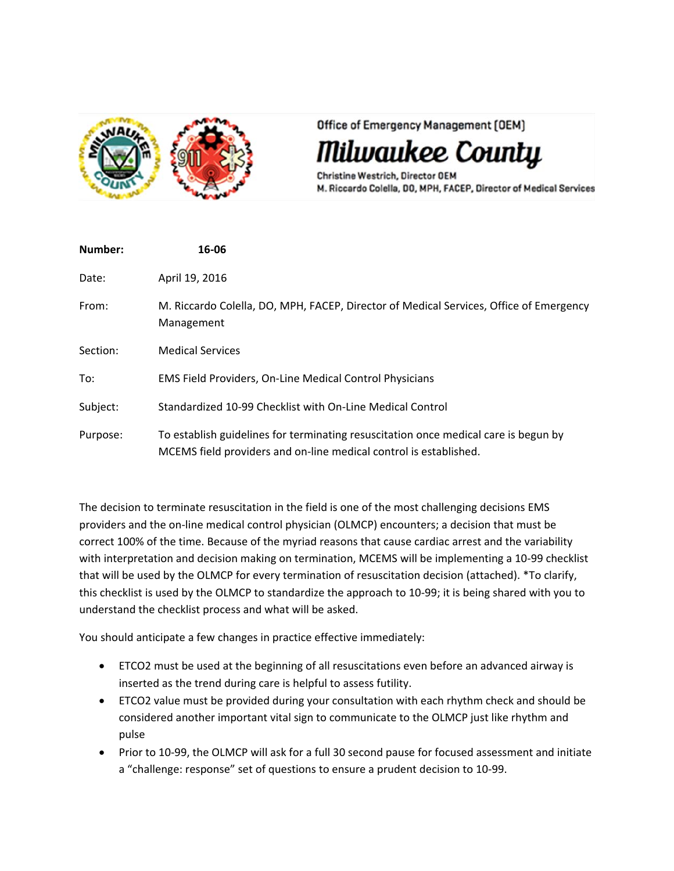

Office of Emergency Management [OEM]

lwaukee County

Christine Westrich, Director OEM M. Riccardo Colella, DO, MPH, FACEP, Director of Medical Services

| Number:  | 16-06                                                                                                                                                    |
|----------|----------------------------------------------------------------------------------------------------------------------------------------------------------|
| Date:    | April 19, 2016                                                                                                                                           |
| From:    | M. Riccardo Colella, DO, MPH, FACEP, Director of Medical Services, Office of Emergency<br>Management                                                     |
| Section: | <b>Medical Services</b>                                                                                                                                  |
| To:      | <b>EMS Field Providers, On-Line Medical Control Physicians</b>                                                                                           |
| Subject: | Standardized 10-99 Checklist with On-Line Medical Control                                                                                                |
| Purpose: | To establish guidelines for terminating resuscitation once medical care is begun by<br>MCEMS field providers and on-line medical control is established. |

The decision to terminate resuscitation in the field is one of the most challenging decisions EMS providers and the on‐line medical control physician (OLMCP) encounters; a decision that must be correct 100% of the time. Because of the myriad reasons that cause cardiac arrest and the variability with interpretation and decision making on termination, MCEMS will be implementing a 10-99 checklist that will be used by the OLMCP for every termination of resuscitation decision (attached). \*To clarify, this checklist is used by the OLMCP to standardize the approach to 10‐99; it is being shared with you to understand the checklist process and what will be asked.

You should anticipate a few changes in practice effective immediately:

- ETCO2 must be used at the beginning of all resuscitations even before an advanced airway is inserted as the trend during care is helpful to assess futility.
- ETCO2 value must be provided during your consultation with each rhythm check and should be considered another important vital sign to communicate to the OLMCP just like rhythm and pulse
- Prior to 10-99, the OLMCP will ask for a full 30 second pause for focused assessment and initiate a "challenge: response" set of questions to ensure a prudent decision to 10‐99.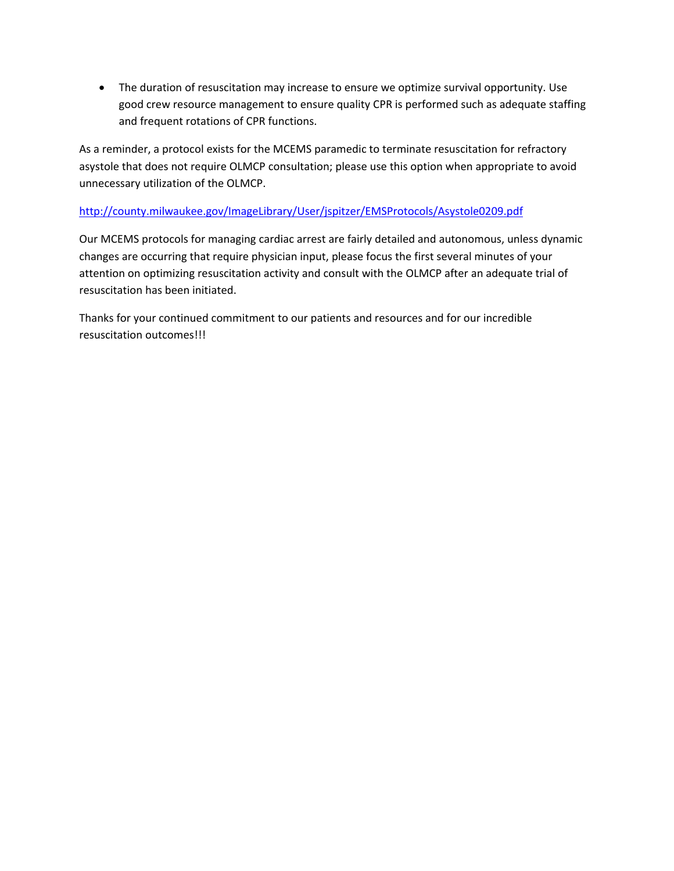The duration of resuscitation may increase to ensure we optimize survival opportunity. Use good crew resource management to ensure quality CPR is performed such as adequate staffing and frequent rotations of CPR functions.

As a reminder, a protocol exists for the MCEMS paramedic to terminate resuscitation for refractory asystole that does not require OLMCP consultation; please use this option when appropriate to avoid unnecessary utilization of the OLMCP.

## http://county.milwaukee.gov/ImageLibrary/User/jspitzer/EMSProtocols/Asystole0209.pdf

Our MCEMS protocols for managing cardiac arrest are fairly detailed and autonomous, unless dynamic changes are occurring that require physician input, please focus the first several minutes of your attention on optimizing resuscitation activity and consult with the OLMCP after an adequate trial of resuscitation has been initiated.

Thanks for your continued commitment to our patients and resources and for our incredible resuscitation outcomes!!!